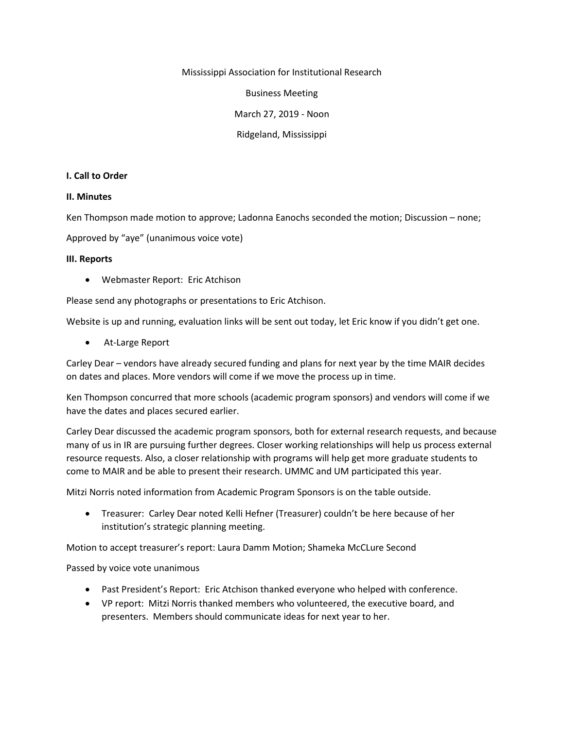Mississippi Association for Institutional Research

Business Meeting

March 27, 2019 - Noon

Ridgeland, Mississippi

#### **I. Call to Order**

### **II. Minutes**

Ken Thompson made motion to approve; Ladonna Eanochs seconded the motion; Discussion – none;

Approved by "aye" (unanimous voice vote)

### **III. Reports**

• Webmaster Report: Eric Atchison

Please send any photographs or presentations to Eric Atchison.

Website is up and running, evaluation links will be sent out today, let Eric know if you didn't get one.

• At-Large Report

Carley Dear – vendors have already secured funding and plans for next year by the time MAIR decides on dates and places. More vendors will come if we move the process up in time.

Ken Thompson concurred that more schools (academic program sponsors) and vendors will come if we have the dates and places secured earlier.

Carley Dear discussed the academic program sponsors, both for external research requests, and because many of us in IR are pursuing further degrees. Closer working relationships will help us process external resource requests. Also, a closer relationship with programs will help get more graduate students to come to MAIR and be able to present their research. UMMC and UM participated this year.

Mitzi Norris noted information from Academic Program Sponsors is on the table outside.

• Treasurer: Carley Dear noted Kelli Hefner (Treasurer) couldn't be here because of her institution's strategic planning meeting.

Motion to accept treasurer's report: Laura Damm Motion; Shameka McCLure Second

Passed by voice vote unanimous

- Past President's Report: Eric Atchison thanked everyone who helped with conference.
- VP report: Mitzi Norris thanked members who volunteered, the executive board, and presenters. Members should communicate ideas for next year to her.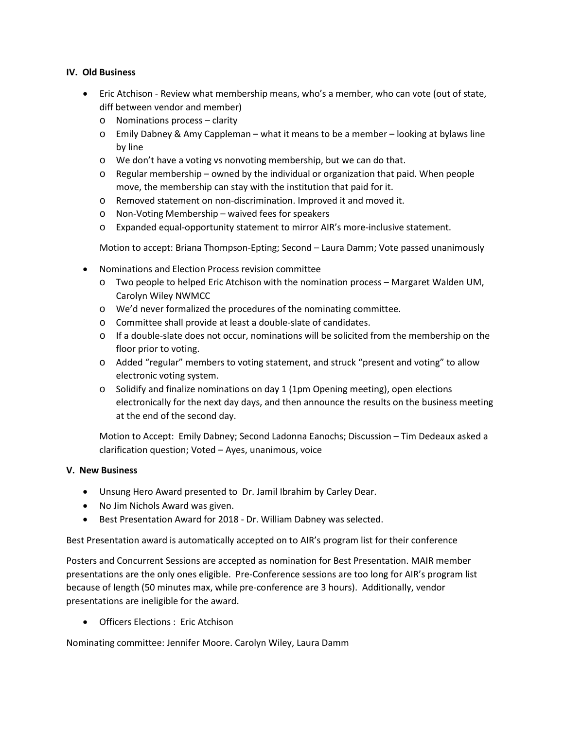## **IV. Old Business**

- Eric Atchison Review what membership means, who's a member, who can vote (out of state, diff between vendor and member)
	- o Nominations process clarity
	- o Emily Dabney & Amy Cappleman what it means to be a member looking at bylaws line by line
	- o We don't have a voting vs nonvoting membership, but we can do that.
	- $\circ$  Regular membership owned by the individual or organization that paid. When people move, the membership can stay with the institution that paid for it.
	- o Removed statement on non-discrimination. Improved it and moved it.
	- o Non-Voting Membership waived fees for speakers
	- o Expanded equal-opportunity statement to mirror AIR's more-inclusive statement.

Motion to accept: Briana Thompson-Epting; Second – Laura Damm; Vote passed unanimously

- Nominations and Election Process revision committee
	- o Two people to helped Eric Atchison with the nomination process Margaret Walden UM, Carolyn Wiley NWMCC
	- o We'd never formalized the procedures of the nominating committee.
	- o Committee shall provide at least a double-slate of candidates.
	- o If a double-slate does not occur, nominations will be solicited from the membership on the floor prior to voting.
	- o Added "regular" members to voting statement, and struck "present and voting" to allow electronic voting system.
	- $\circ$  Solidify and finalize nominations on day 1 (1pm Opening meeting), open elections electronically for the next day days, and then announce the results on the business meeting at the end of the second day.

Motion to Accept: Emily Dabney; Second Ladonna Eanochs; Discussion – Tim Dedeaux asked a clarification question; Voted – Ayes, unanimous, voice

# **V. New Business**

- Unsung Hero Award presented to Dr. Jamil Ibrahim by Carley Dear.
- No Jim Nichols Award was given.
- Best Presentation Award for 2018 Dr. William Dabney was selected.

Best Presentation award is automatically accepted on to AIR's program list for their conference

Posters and Concurrent Sessions are accepted as nomination for Best Presentation. MAIR member presentations are the only ones eligible. Pre-Conference sessions are too long for AIR's program list because of length (50 minutes max, while pre-conference are 3 hours). Additionally, vendor presentations are ineligible for the award.

• Officers Elections : Eric Atchison

Nominating committee: Jennifer Moore. Carolyn Wiley, Laura Damm